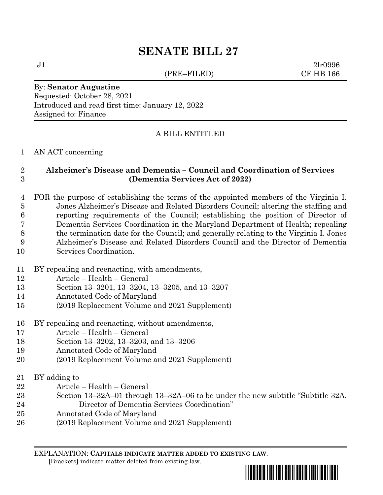# **SENATE BILL 27**

(PRE–FILED) CF HB 166

 $J1$  2lr0996

#### By: **Senator Augustine** Requested: October 28, 2021 Introduced and read first time: January 12, 2022 Assigned to: Finance

## A BILL ENTITLED

#### AN ACT concerning

### **Alzheimer's Disease and Dementia – Council and Coordination of Services (Dementia Services Act of 2022)**

 FOR the purpose of establishing the terms of the appointed members of the Virginia I. Jones Alzheimer's Disease and Related Disorders Council; altering the staffing and reporting requirements of the Council; establishing the position of Director of Dementia Services Coordination in the Maryland Department of Health; repealing the termination date for the Council; and generally relating to the Virginia I. Jones Alzheimer's Disease and Related Disorders Council and the Director of Dementia Services Coordination.

- BY repealing and reenacting, with amendments,
- Article Health General
- Section 13–3201, 13–3204, 13–3205, and 13–3207
- Annotated Code of Maryland
- (2019 Replacement Volume and 2021 Supplement)
- BY repealing and reenacting, without amendments,
- Article Health General
- Section 13–3202, 13–3203, and 13–3206
- Annotated Code of Maryland
- (2019 Replacement Volume and 2021 Supplement)
- BY adding to
- Article Health General
- Section 13–32A–01 through 13–32A–06 to be under the new subtitle "Subtitle 32A. Director of Dementia Services Coordination"
- Annotated Code of Maryland
- (2019 Replacement Volume and 2021 Supplement)

EXPLANATION: **CAPITALS INDICATE MATTER ADDED TO EXISTING LAW**.  **[**Brackets**]** indicate matter deleted from existing law.

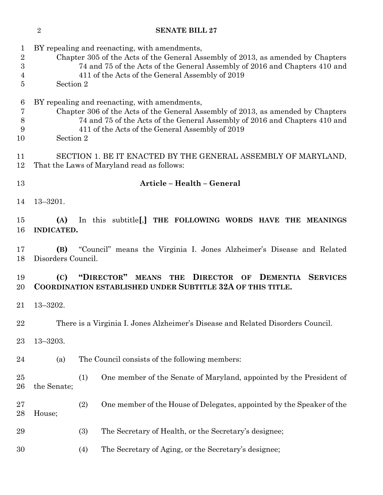| <b>SENATE BILL 27</b> |
|-----------------------|
|                       |

| $\mathbf{1}$<br>$\sqrt{2}$<br>$\boldsymbol{3}$<br>4<br>5 | BY repealing and reenacting, with amendments,<br>Chapter 305 of the Acts of the General Assembly of 2013, as amended by Chapters<br>74 and 75 of the Acts of the General Assembly of 2016 and Chapters 410 and<br>411 of the Acts of the General Assembly of 2019<br>Section 2 |     |                                                                                                                               |  |  |  |  |  |  |
|----------------------------------------------------------|--------------------------------------------------------------------------------------------------------------------------------------------------------------------------------------------------------------------------------------------------------------------------------|-----|-------------------------------------------------------------------------------------------------------------------------------|--|--|--|--|--|--|
| 6<br>7<br>8<br>9<br>10                                   | BY repealing and reenacting, with amendments,<br>Chapter 306 of the Acts of the General Assembly of 2013, as amended by Chapters<br>74 and 75 of the Acts of the General Assembly of 2016 and Chapters 410 and<br>411 of the Acts of the General Assembly of 2019<br>Section 2 |     |                                                                                                                               |  |  |  |  |  |  |
| 11<br>12                                                 | SECTION 1. BE IT ENACTED BY THE GENERAL ASSEMBLY OF MARYLAND,<br>That the Laws of Maryland read as follows:                                                                                                                                                                    |     |                                                                                                                               |  |  |  |  |  |  |
| 13                                                       | Article - Health - General                                                                                                                                                                                                                                                     |     |                                                                                                                               |  |  |  |  |  |  |
| 14                                                       | $13 - 3201.$                                                                                                                                                                                                                                                                   |     |                                                                                                                               |  |  |  |  |  |  |
| 15<br>16                                                 | (A)<br><b>INDICATED.</b>                                                                                                                                                                                                                                                       |     | In this subtitle [,] THE FOLLOWING WORDS HAVE THE MEANINGS                                                                    |  |  |  |  |  |  |
| 17<br>18                                                 | "Council" means the Virginia I. Jones Alzheimer's Disease and Related<br>(B)<br>Disorders Council.                                                                                                                                                                             |     |                                                                                                                               |  |  |  |  |  |  |
| 19<br>20                                                 | (C)                                                                                                                                                                                                                                                                            |     | "DIRECTOR" MEANS<br>THE DIRECTOR OF DEMENTIA<br><b>SERVICES</b><br>COORDINATION ESTABLISHED UNDER SUBTITLE 32A OF THIS TITLE. |  |  |  |  |  |  |
| 21                                                       | $13 - 3202.$                                                                                                                                                                                                                                                                   |     |                                                                                                                               |  |  |  |  |  |  |
| 22                                                       |                                                                                                                                                                                                                                                                                |     | There is a Virginia I. Jones Alzheimer's Disease and Related Disorders Council.                                               |  |  |  |  |  |  |
| 23                                                       | $13 - 3203.$                                                                                                                                                                                                                                                                   |     |                                                                                                                               |  |  |  |  |  |  |
| 24                                                       | (a)                                                                                                                                                                                                                                                                            |     | The Council consists of the following members:                                                                                |  |  |  |  |  |  |
| $25\,$<br>26                                             | the Senate;                                                                                                                                                                                                                                                                    | (1) | One member of the Senate of Maryland, appointed by the President of                                                           |  |  |  |  |  |  |
| $\sqrt{27}$<br>28                                        | House;                                                                                                                                                                                                                                                                         | (2) | One member of the House of Delegates, appointed by the Speaker of the                                                         |  |  |  |  |  |  |
| 29                                                       |                                                                                                                                                                                                                                                                                | (3) | The Secretary of Health, or the Secretary's designee;                                                                         |  |  |  |  |  |  |
| 30                                                       |                                                                                                                                                                                                                                                                                | (4) | The Secretary of Aging, or the Secretary's designee;                                                                          |  |  |  |  |  |  |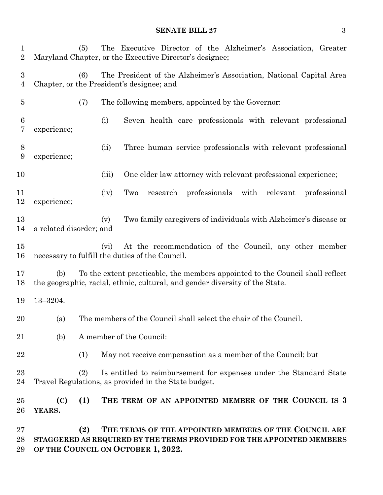#### **SENATE BILL 27** 3

| $27\,$<br>28          |                                                                                                                                                                      | (2)                                                      |       | THE TERMS OF THE APPOINTED MEMBERS OF THE COUNCIL ARE<br>STAGGERED AS REQUIRED BY THE TERMS PROVIDED FOR THE APPOINTED MEMBERS |  |  |  |
|-----------------------|----------------------------------------------------------------------------------------------------------------------------------------------------------------------|----------------------------------------------------------|-------|--------------------------------------------------------------------------------------------------------------------------------|--|--|--|
| $25\,$<br>26          | (C)<br>YEARS.                                                                                                                                                        | (1)                                                      |       | THE TERM OF AN APPOINTED MEMBER OF THE COUNCIL IS 3                                                                            |  |  |  |
| 23<br>24              | (2)<br>Is entitled to reimbursement for expenses under the Standard State<br>Travel Regulations, as provided in the State budget.                                    |                                                          |       |                                                                                                                                |  |  |  |
| 22                    |                                                                                                                                                                      | (1)                                                      |       | May not receive compensation as a member of the Council; but                                                                   |  |  |  |
| 21                    | (b)<br>A member of the Council:                                                                                                                                      |                                                          |       |                                                                                                                                |  |  |  |
| 20                    | The members of the Council shall select the chair of the Council.<br>(a)                                                                                             |                                                          |       |                                                                                                                                |  |  |  |
| 19                    | $13 - 3204.$                                                                                                                                                         |                                                          |       |                                                                                                                                |  |  |  |
| 17<br>18              | To the extent practicable, the members appointed to the Council shall reflect<br>(b)<br>the geographic, racial, ethnic, cultural, and gender diversity of the State. |                                                          |       |                                                                                                                                |  |  |  |
| 15<br>16              |                                                                                                                                                                      |                                                          | (vi)  | At the recommendation of the Council, any other member<br>necessary to fulfill the duties of the Council.                      |  |  |  |
| 13<br>14              | Two family caregivers of individuals with Alzheimer's disease or<br>(v)<br>a related disorder; and                                                                   |                                                          |       |                                                                                                                                |  |  |  |
| 11<br>12              | experience;                                                                                                                                                          |                                                          | (iv)  | professionals<br>Two<br>with<br>relevant<br>professional<br>research                                                           |  |  |  |
| 10                    |                                                                                                                                                                      |                                                          | (iii) | One elder law attorney with relevant professional experience;                                                                  |  |  |  |
| 8<br>9                | experience;                                                                                                                                                          |                                                          | (ii)  | Three human service professionals with relevant professional                                                                   |  |  |  |
| 6<br>7                | experience;                                                                                                                                                          |                                                          | (i)   | Seven health care professionals with relevant professional                                                                     |  |  |  |
| $\overline{5}$        |                                                                                                                                                                      | (7)<br>The following members, appointed by the Governor: |       |                                                                                                                                |  |  |  |
| $\boldsymbol{3}$<br>4 | The President of the Alzheimer's Association, National Capital Area<br>(6)<br>Chapter, or the President's designee; and                                              |                                                          |       |                                                                                                                                |  |  |  |
| 1<br>$\overline{2}$   |                                                                                                                                                                      | (5)                                                      |       | The Executive Director of the Alzheimer's Association, Greater<br>Maryland Chapter, or the Executive Director's designee;      |  |  |  |

**OF THE COUNCIL ON OCTOBER 1, 2022.**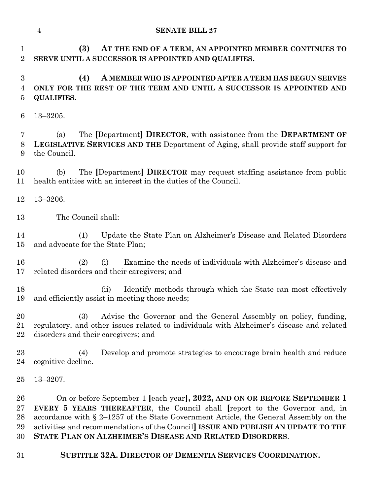#### **SENATE BILL 27**

 **(3) AT THE END OF A TERM, AN APPOINTED MEMBER CONTINUES TO SERVE UNTIL A SUCCESSOR IS APPOINTED AND QUALIFIES.**

# **(4) A MEMBER WHO IS APPOINTED AFTER A TERM HAS BEGUN SERVES ONLY FOR THE REST OF THE TERM AND UNTIL A SUCCESSOR IS APPOINTED AND QUALIFIES.**

13–3205.

 (a) The **[**Department**] DIRECTOR**, with assistance from the **DEPARTMENT OF LEGISLATIVE SERVICES AND THE** Department of Aging, shall provide staff support for the Council.

 (b) The **[**Department**] DIRECTOR** may request staffing assistance from public health entities with an interest in the duties of the Council.

- 13–3206.
- The Council shall:

 (1) Update the State Plan on Alzheimer's Disease and Related Disorders and advocate for the State Plan;

- (2) (i) Examine the needs of individuals with Alzheimer's disease and related disorders and their caregivers; and
- (ii) Identify methods through which the State can most effectively and efficiently assist in meeting those needs;

 (3) Advise the Governor and the General Assembly on policy, funding, regulatory, and other issues related to individuals with Alzheimer's disease and related disorders and their caregivers; and

 (4) Develop and promote strategies to encourage brain health and reduce cognitive decline.

13–3207.

 On or before September 1 **[**each year**], 2022, AND ON OR BEFORE SEPTEMBER 1 EVERY 5 YEARS THEREAFTER**, the Council shall **[**report to the Governor and, in accordance with § 2–1257 of the State Government Article, the General Assembly on the activities and recommendations of the Council**] ISSUE AND PUBLISH AN UPDATE TO THE STATE PLAN ON ALZHEIMER'S DISEASE AND RELATED DISORDERS**.

**SUBTITLE 32A. DIRECTOR OF DEMENTIA SERVICES COORDINATION.**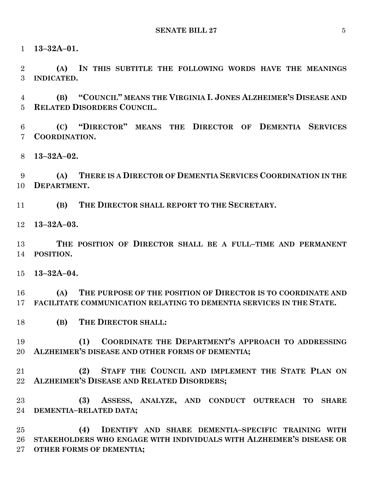**13–32A–01.**

 **(A) IN THIS SUBTITLE THE FOLLOWING WORDS HAVE THE MEANINGS INDICATED.**

 **(B) "COUNCIL" MEANS THE VIRGINIA I. JONES ALZHEIMER'S DISEASE AND RELATED DISORDERS COUNCIL.**

 **(C) "DIRECTOR" MEANS THE DIRECTOR OF DEMENTIA SERVICES COORDINATION.**

**13–32A–02.**

 **(A) THERE IS A DIRECTOR OF DEMENTIA SERVICES COORDINATION IN THE DEPARTMENT.**

**(B) THE DIRECTOR SHALL REPORT TO THE SECRETARY.**

**13–32A–03.**

 **THE POSITION OF DIRECTOR SHALL BE A FULL–TIME AND PERMANENT POSITION.**

**13–32A–04.**

 **(A) THE PURPOSE OF THE POSITION OF DIRECTOR IS TO COORDINATE AND FACILITATE COMMUNICATION RELATING TO DEMENTIA SERVICES IN THE STATE.**

**(B) THE DIRECTOR SHALL:**

 **(1) COORDINATE THE DEPARTMENT'S APPROACH TO ADDRESSING ALZHEIMER'S DISEASE AND OTHER FORMS OF DEMENTIA;**

 **(2) STAFF THE COUNCIL AND IMPLEMENT THE STATE PLAN ON ALZHEIMER'S DISEASE AND RELATED DISORDERS;**

 **(3) ASSESS, ANALYZE, AND CONDUCT OUTREACH TO SHARE DEMENTIA–RELATED DATA;**

 **(4) IDENTIFY AND SHARE DEMENTIA–SPECIFIC TRAINING WITH STAKEHOLDERS WHO ENGAGE WITH INDIVIDUALS WITH ALZHEIMER'S DISEASE OR OTHER FORMS OF DEMENTIA;**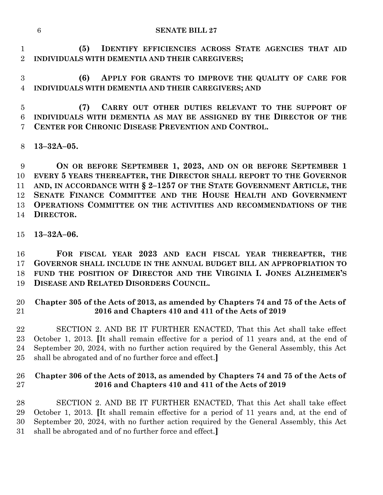|                                                   |  | IDENTIFY EFFICIENCIES ACROSS STATE AGENCIES THAT AID |  |  |  |  |  |  |  |
|---------------------------------------------------|--|------------------------------------------------------|--|--|--|--|--|--|--|
| 2 INDIVIDUALS WITH DEMENTIA AND THEIR CAREGIVERS; |  |                                                      |  |  |  |  |  |  |  |

**SENATE BILL 27**

 **(6) APPLY FOR GRANTS TO IMPROVE THE QUALITY OF CARE FOR INDIVIDUALS WITH DEMENTIA AND THEIR CAREGIVERS; AND**

 **(7) CARRY OUT OTHER DUTIES RELEVANT TO THE SUPPORT OF INDIVIDUALS WITH DEMENTIA AS MAY BE ASSIGNED BY THE DIRECTOR OF THE CENTER FOR CHRONIC DISEASE PREVENTION AND CONTROL.**

**13–32A–05.**

 **ON OR BEFORE SEPTEMBER 1, 2023, AND ON OR BEFORE SEPTEMBER 1 EVERY 5 YEARS THEREAFTER, THE DIRECTOR SHALL REPORT TO THE GOVERNOR AND, IN ACCORDANCE WITH § 2–1257 OF THE STATE GOVERNMENT ARTICLE, THE SENATE FINANCE COMMITTEE AND THE HOUSE HEALTH AND GOVERNMENT OPERATIONS COMMITTEE ON THE ACTIVITIES AND RECOMMENDATIONS OF THE DIRECTOR.**

**13–32A–06.**

 **FOR FISCAL YEAR 2023 AND EACH FISCAL YEAR THEREAFTER, THE GOVERNOR SHALL INCLUDE IN THE ANNUAL BUDGET BILL AN APPROPRIATION TO FUND THE POSITION OF DIRECTOR AND THE VIRGINIA I. JONES ALZHEIMER'S DISEASE AND RELATED DISORDERS COUNCIL.**

#### **Chapter 305 of the Acts of 2013, as amended by Chapters 74 and 75 of the Acts of 2016 and Chapters 410 and 411 of the Acts of 2019**

 SECTION 2. AND BE IT FURTHER ENACTED, That this Act shall take effect October 1, 2013. **[**It shall remain effective for a period of 11 years and, at the end of September 20, 2024, with no further action required by the General Assembly, this Act shall be abrogated and of no further force and effect.**]**

#### **Chapter 306 of the Acts of 2013, as amended by Chapters 74 and 75 of the Acts of 2016 and Chapters 410 and 411 of the Acts of 2019**

 SECTION 2. AND BE IT FURTHER ENACTED, That this Act shall take effect October 1, 2013. **[**It shall remain effective for a period of 11 years and, at the end of September 20, 2024, with no further action required by the General Assembly, this Act shall be abrogated and of no further force and effect.**]**